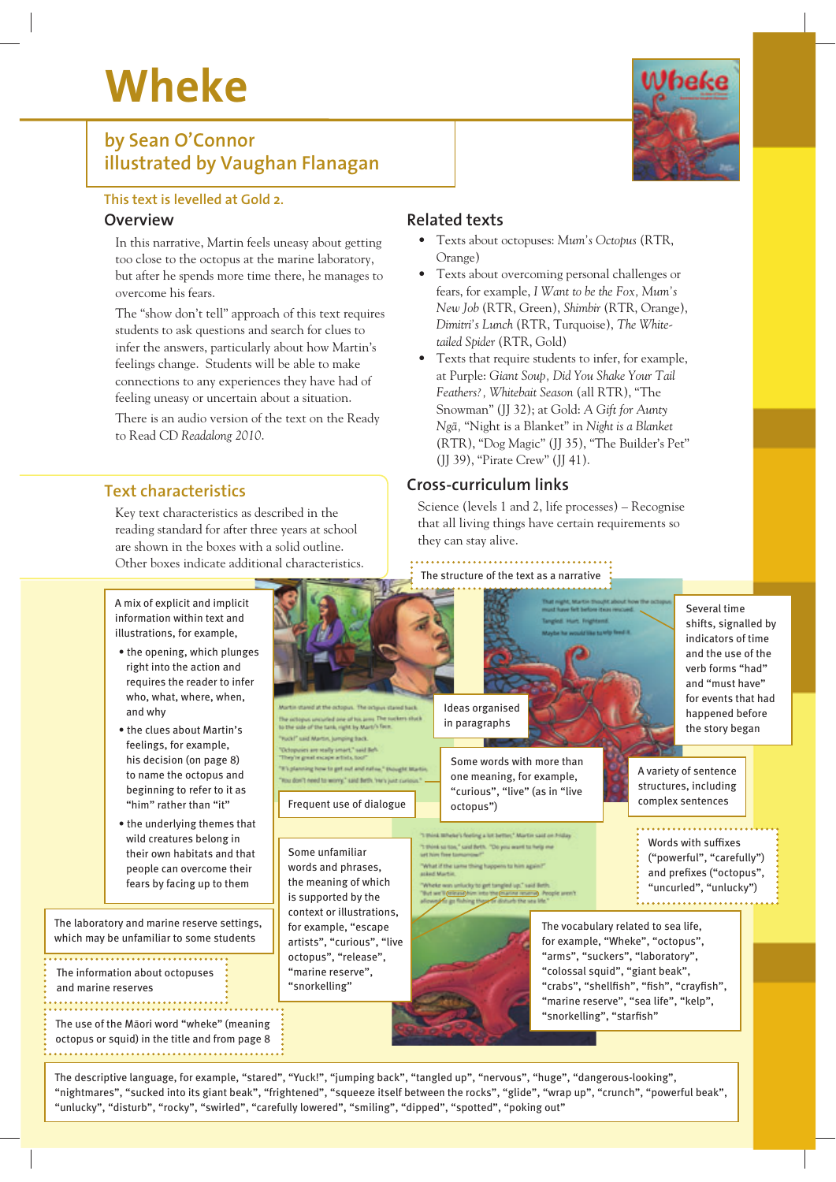# **Wheke**

### **by Sean O'Connor illustrated by Vaughan Flanagan**

#### **This text is levelled at Gold 2.**

#### **Overview**

In this narrative, Martin feels uneasy about getting too close to the octopus at the marine laboratory, but after he spends more time there, he manages to overcome his fears.

The "show don't tell" approach of this text requires students to ask questions and search for clues to infer the answers, particularly about how Martin's feelings change. Students will be able to make connections to any experiences they have had of feeling uneasy or uncertain about a situation.

There is an audio version of the text on the Ready to Read CD *Readalong 2010*.

#### **Text characteristics**

Key text characteristics as described in the reading standard for after three years at school are shown in the boxes with a solid outline. Other boxes indicate additional characteristics.

#### **Related texts**

- Texts about octopuses: *Mum's Octopus* (RTR, Orange)
- Texts about overcoming personal challenges or fears, for example, *I Want to be the Fox, Mum's New Job* (RTR, Green), *Shimbir* (RTR, Orange), *Dimitri's Lunch* (RTR, Turquoise), *The Whitetailed Spider* (RTR, Gold)
- Texts that require students to infer, for example, at Purple: *Giant Soup, Did You Shake Your Tail Feathers?, Whitebait Season* (all RTR), "The Snowman" (JJ 32); at Gold: *A Gift for Aunty Ngà,* "Night is a Blanket" in *Night is a Blanket* (RTR), "Dog Magic" (JJ 35), "The Builder's Pet" (JJ 39), "Pirate Crew" (JJ 41).

#### **Cross-curriculum links**

Science (levels 1 and 2, life processes) – Recognise that all living things have certain requirements so they can stay alive.

#### The structure of the text as a narrative



The descriptive language, for example, "stared", "Yuck!", "jumping back", "tangled up", "nervous", "huge", "dangerous-looking", "nightmares", "sucked into its giant beak", "frightened", "squeeze itself between the rocks", "glide", "wrap up", "crunch", "powerful beak", "unlucky", "disturb", "rocky", "swirled", "carefully lowered", "smiling", "dipped", "spotted", "poking out"

A mix of explicit and implicit information within text and illustrations, for example,

- the opening, which plunges right into the action and requires the reader to infer who, what, where, when, and why
- the clues about Martin's feelings, for example, his decision (on page 8) to name the octopus and beginning to refer to it as "him" rather than "it"
- the underlying themes that wild creatures belong in their own habitats and that people can overcome their fears by facing up to them

The laboratory and marine reserve settings, which may be unfamiliar to some students

The information about octopuses and marine reserves

The use of the Màori word "wheke" (meaning octopus or squid) in the title and from page 8 

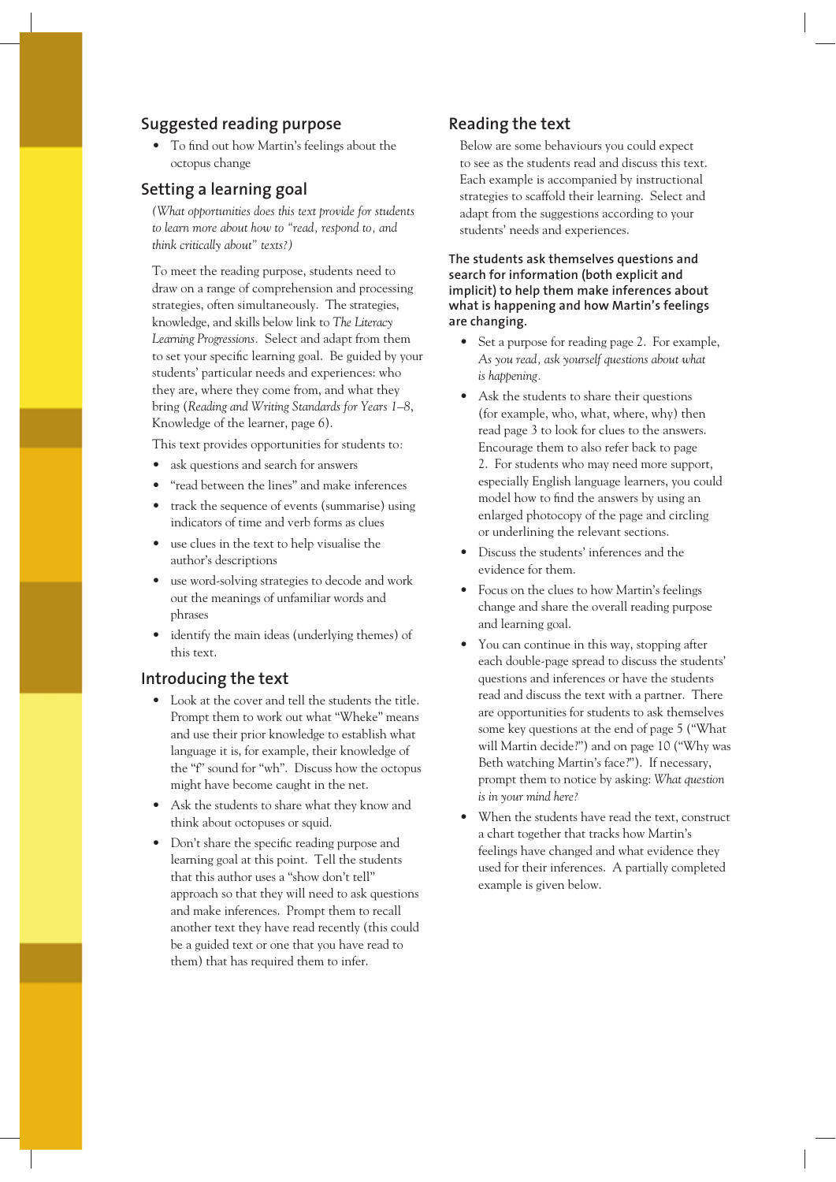#### **Suggested reading purpose**

• To find out how Martin's feelings about the octopus change

#### **Setting a learning goal**

*(What opportunities does this text provide for students to learn more about how to "read, respond to, and think critically about" texts?)*

To meet the reading purpose, students need to draw on a range of comprehension and processing strategies, often simultaneously. The strategies, knowledge, and skills below link to *The Literacy Learning Progressions.* Select and adapt from them to set your specific learning goal. Be guided by your students' particular needs and experiences: who they are, where they come from, and what they bring (*Reading and Writing Standards for Years 1–8*, Knowledge of the learner, page 6).

This text provides opportunities for students to*:*

- ask questions and search for answers
- "read between the lines" and make inferences
- track the sequence of events (summarise) using indicators of time and verb forms as clues
- use clues in the text to help visualise the author's descriptions
- use word-solving strategies to decode and work out the meanings of unfamiliar words and phrases
- identify the main ideas (underlying themes) of this text.

#### **Introducing the text**

- Look at the cover and tell the students the title. Prompt them to work out what "Wheke" means and use their prior knowledge to establish what language it is, for example, their knowledge of the "f" sound for "wh". Discuss how the octopus might have become caught in the net.
- Ask the students to share what they know and think about octopuses or squid.
- Don't share the specific reading purpose and learning goal at this point. Tell the students that this author uses a "show don't tell" approach so that they will need to ask questions and make inferences. Prompt them to recall another text they have read recently (this could be a guided text or one that you have read to them) that has required them to infer.

#### **Reading the text**

Below are some behaviours you could expect to see as the students read and discuss this text. Each example is accompanied by instructional strategies to scaffold their learning. Select and adapt from the suggestions according to your students' needs and experiences.

**The students ask themselves questions and search for information (both explicit and implicit) to help them make inferences about what is happening and how Martin's feelings are changing.**

- Set a purpose for reading page 2. For example, *As you read, ask yourself questions about what is happening.*
- Ask the students to share their questions (for example, who, what, where, why) then read page 3 to look for clues to the answers. Encourage them to also refer back to page 2. For students who may need more support, especially English language learners, you could model how to find the answers by using an enlarged photocopy of the page and circling or underlining the relevant sections.
- Discuss the students' inferences and the evidence for them.
- Focus on the clues to how Martin's feelings change and share the overall reading purpose and learning goal.
- You can continue in this way, stopping after each double-page spread to discuss the students' questions and inferences or have the students read and discuss the text with a partner. There are opportunities for students to ask themselves some key questions at the end of page 5 ("What will Martin decide?") and on page 10 ("Why was Beth watching Martin's face?"). If necessary, prompt them to notice by asking: *What question is in your mind here?*
- When the students have read the text, construct a chart together that tracks how Martin's feelings have changed and what evidence they used for their inferences. A partially completed example is given below.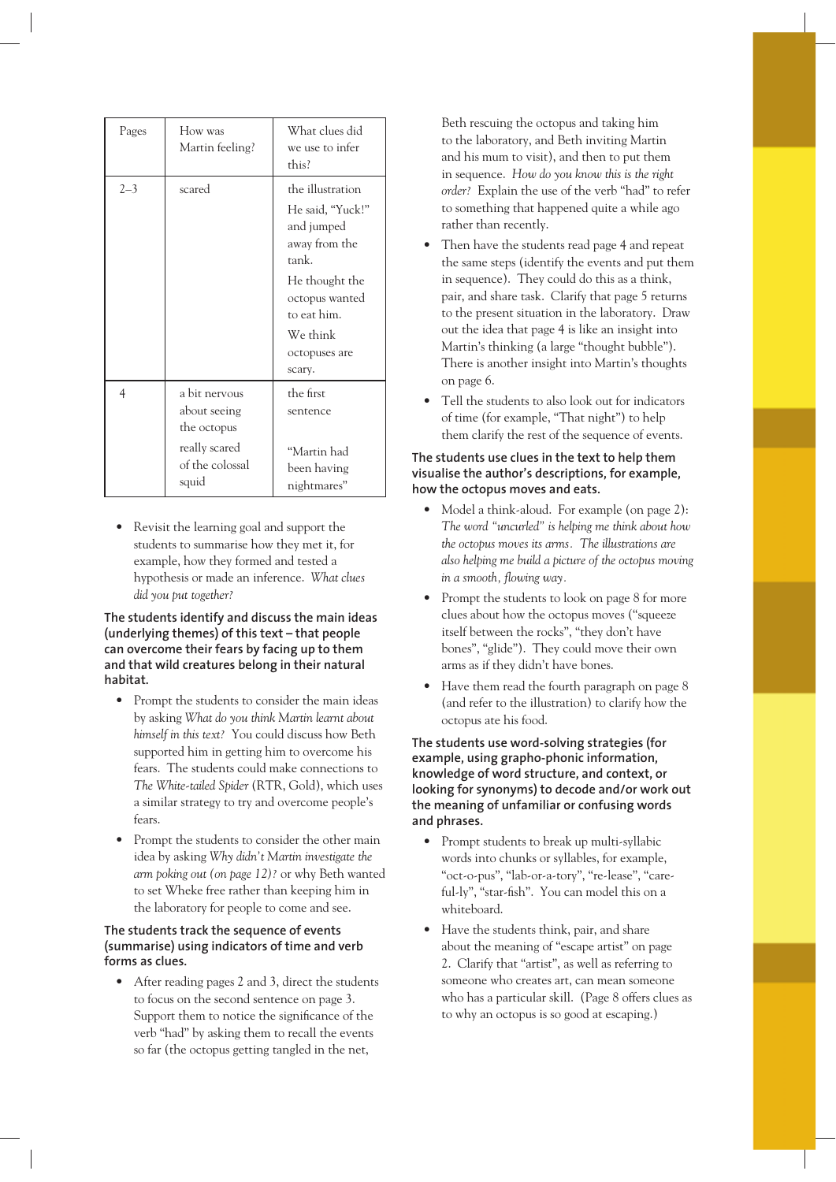| Pages   | How was<br>Martin feeling?                                                                | What clues did<br>we use to infer<br>this?                                                                                                                             |
|---------|-------------------------------------------------------------------------------------------|------------------------------------------------------------------------------------------------------------------------------------------------------------------------|
| $2 - 3$ | scared                                                                                    | the illustration<br>He said, "Yuck!"<br>and jumped<br>away from the<br>tank.<br>He thought the<br>octopus wanted<br>to eat him.<br>We think<br>octopuses are<br>scary. |
| 4       | a bit nervous<br>about seeing<br>the octopus<br>really scared<br>of the colossal<br>squid | the first<br>sentence<br>"Martin had<br>been having<br>nightmares"                                                                                                     |

• Revisit the learning goal and support the students to summarise how they met it, for example, how they formed and tested a hypothesis or made an inference. *What clues did you put together?*

**The students identify and discuss the main ideas (underlying themes) of this text – that people can overcome their fears by facing up to them and that wild creatures belong in their natural habitat.**

- Prompt the students to consider the main ideas by asking *What do you think Martin learnt about himself in this text?* You could discuss how Beth supported him in getting him to overcome his fears. The students could make connections to *The White-tailed Spider* (RTR, Gold), which uses a similar strategy to try and overcome people's fears.
- Prompt the students to consider the other main idea by asking *Why didn't Martin investigate the arm poking out (on page 12)?* or why Beth wanted to set Wheke free rather than keeping him in the laboratory for people to come and see.

#### **The students track the sequence of events (summarise) using indicators of time and verb forms as clues.**

• After reading pages 2 and 3, direct the students to focus on the second sentence on page 3. Support them to notice the significance of the verb "had" by asking them to recall the events so far (the octopus getting tangled in the net,

Beth rescuing the octopus and taking him to the laboratory, and Beth inviting Martin and his mum to visit), and then to put them in sequence. *How do you know this is the right order?* Explain the use of the verb "had" to refer to something that happened quite a while ago rather than recently.

- Then have the students read page 4 and repeat the same steps (identify the events and put them in sequence). They could do this as a think, pair, and share task. Clarify that page 5 returns to the present situation in the laboratory. Draw out the idea that page 4 is like an insight into Martin's thinking (a large "thought bubble"). There is another insight into Martin's thoughts on page 6.
- Tell the students to also look out for indicators of time (for example, "That night") to help them clarify the rest of the sequence of events.

#### **The students use clues in the text to help them visualise the author's descriptions, for example, how the octopus moves and eats.**

- Model a think-aloud. For example (on page 2): *The word "uncurled" is helping me think about how the octopus moves its arms. The illustrations are also helping me build a picture of the octopus moving in a smooth, flowing way.*
- Prompt the students to look on page 8 for more clues about how the octopus moves ("squeeze itself between the rocks", "they don't have bones", "glide"). They could move their own arms as if they didn't have bones.
- Have them read the fourth paragraph on page 8 (and refer to the illustration) to clarify how the octopus ate his food.

**The students use word-solving strategies (for example, using grapho-phonic information, knowledge of word structure, and context, or looking for synonyms) to decode and/or work out the meaning of unfamiliar or confusing words and phrases.**

- Prompt students to break up multi-syllabic words into chunks or syllables, for example, "oct-o-pus", "lab-or-a-tory", "re-lease", "careful-ly", "star-fish". You can model this on a whiteboard.
- Have the students think, pair, and share about the meaning of "escape artist" on page 2. Clarify that "artist", as well as referring to someone who creates art, can mean someone who has a particular skill. (Page 8 offers clues as to why an octopus is so good at escaping.)